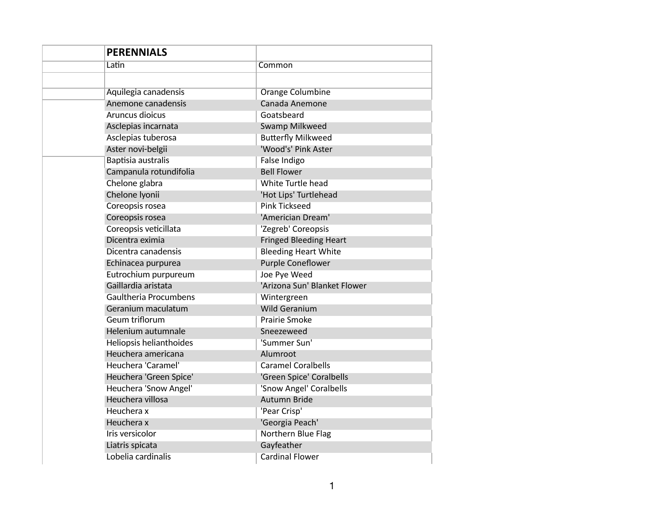| <b>PERENNIALS</b>            |                               |
|------------------------------|-------------------------------|
| Latin                        | Common                        |
|                              |                               |
| Aquilegia canadensis         | <b>Orange Columbine</b>       |
| Anemone canadensis           | Canada Anemone                |
| Aruncus dioicus              | Goatsbeard                    |
| Asclepias incarnata          | Swamp Milkweed                |
| Asclepias tuberosa           | <b>Butterfly Milkweed</b>     |
| Aster novi-belgii            | 'Wood's' Pink Aster           |
| Baptisia australis           | False Indigo                  |
| Campanula rotundifolia       | <b>Bell Flower</b>            |
| Chelone glabra               | White Turtle head             |
| Chelone Iyonii               | 'Hot Lips' Turtlehead         |
| Coreopsis rosea              | <b>Pink Tickseed</b>          |
| Coreopsis rosea              | 'Americian Dream'             |
| Coreopsis veticillata        | 'Zegreb' Coreopsis            |
| Dicentra eximia              | <b>Fringed Bleeding Heart</b> |
| Dicentra canadensis          | <b>Bleeding Heart White</b>   |
| Echinacea purpurea           | Purple Coneflower             |
| Eutrochium purpureum         | Joe Pye Weed                  |
| Gaillardia aristata          | 'Arizona Sun' Blanket Flower  |
| <b>Gaultheria Procumbens</b> | Wintergreen                   |
| Geranium maculatum           | <b>Wild Geranium</b>          |
| Geum triflorum               | Prairie Smoke                 |
| Helenium autumnale           | Sneezeweed                    |
| Heliopsis helianthoides      | 'Summer Sun'                  |
| Heuchera americana           | Alumroot                      |
| Heuchera 'Caramel'           | <b>Caramel Coralbells</b>     |
| Heuchera 'Green Spice'       | 'Green Spice' Coralbells      |
| Heuchera 'Snow Angel'        | 'Snow Angel' Coralbells       |
| Heuchera villosa             | Autumn Bride                  |
| Heuchera x                   | 'Pear Crisp'                  |
| Heuchera x                   | 'Georgia Peach'               |
| Iris versicolor              | Northern Blue Flag            |
| Liatris spicata              | Gayfeather                    |
| Lobelia cardinalis           | <b>Cardinal Flower</b>        |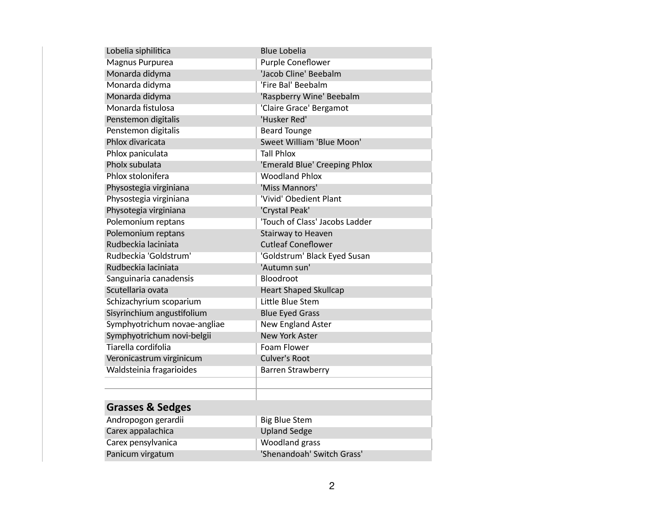| Lobelia siphilitica          | <b>Blue Lobelia</b>            |
|------------------------------|--------------------------------|
| Magnus Purpurea              | <b>Purple Coneflower</b>       |
| Monarda didyma               | 'Jacob Cline' Beebalm          |
| Monarda didyma               | 'Fire Bal' Beebalm             |
| Monarda didyma               | 'Raspberry Wine' Beebalm       |
| Monarda fistulosa            | 'Claire Grace' Bergamot        |
| Penstemon digitalis          | 'Husker Red'                   |
| Penstemon digitalis          | <b>Beard Tounge</b>            |
| Phlox divaricata             | Sweet William 'Blue Moon'      |
| Phlox paniculata             | <b>Tall Phlox</b>              |
| Pholx subulata               | 'Emerald Blue' Creeping Phlox  |
| Phlox stolonifera            | <b>Woodland Phlox</b>          |
| Physostegia virginiana       | 'Miss Mannors'                 |
| Physostegia virginiana       | 'Vivid' Obedient Plant         |
| Physotegia virginiana        | 'Crystal Peak'                 |
| Polemonium reptans           | 'Touch of Class' Jacobs Ladder |
| Polemonium reptans           | Stairway to Heaven             |
| Rudbeckia laciniata          | <b>Cutleaf Coneflower</b>      |
| Rudbeckia 'Goldstrum'        | 'Goldstrum' Black Eyed Susan   |
| Rudbeckia laciniata          | 'Autumn sun'                   |
| Sanguinaria canadensis       | Bloodroot                      |
| Scutellaria ovata            | <b>Heart Shaped Skullcap</b>   |
| Schizachyrium scoparium      | Little Blue Stem               |
| Sisyrinchium angustifolium   | <b>Blue Eyed Grass</b>         |
| Symphyotrichum novae-angliae | New England Aster              |
| Symphyotrichum novi-belgii   | <b>New York Aster</b>          |
| Tiarella cordifolia          | Foam Flower                    |
| Veronicastrum virginicum     | <b>Culver's Root</b>           |
| Waldsteinia fragarioides     | <b>Barren Strawberry</b>       |
|                              |                                |
|                              |                                |
| <b>Grasses &amp; Sedges</b>  |                                |
| Andropogon gerardii          | <b>Big Blue Stem</b>           |
| Carex appalachica            | <b>Upland Sedge</b>            |
| Carex pensylvanica           | Woodland grass                 |
| Panicum virgatum             | 'Shenandoah' Switch Grass'     |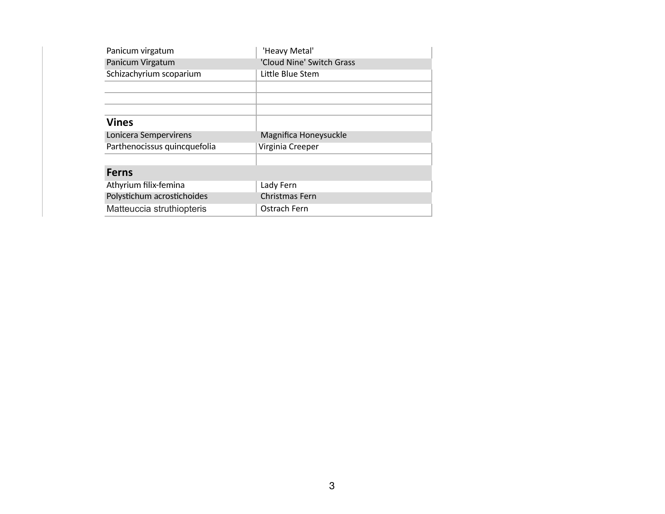| Panicum virgatum             | 'Heavy Metal'             |  |
|------------------------------|---------------------------|--|
| Panicum Virgatum             | 'Cloud Nine' Switch Grass |  |
| Schizachyrium scoparium      | Little Blue Stem          |  |
|                              |                           |  |
|                              |                           |  |
|                              |                           |  |
| <b>Vines</b>                 |                           |  |
|                              |                           |  |
| Lonicera Sempervirens        | Magnifica Honeysuckle     |  |
| Parthenocissus quincquefolia | Virginia Creeper          |  |
|                              |                           |  |
| <b>Ferns</b>                 |                           |  |
| Athyrium filix-femina        | Lady Fern                 |  |
| Polystichum acrostichoides   | Christmas Fern            |  |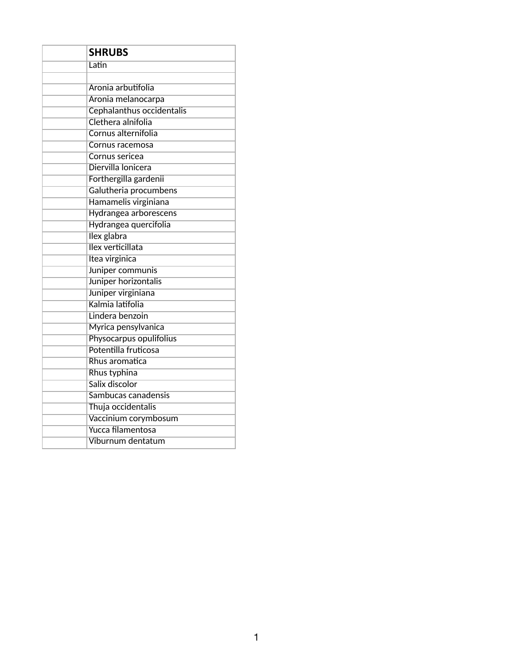| <b>SHRUBS</b>             |  |
|---------------------------|--|
| Latin                     |  |
|                           |  |
| Aronia arbutifolia        |  |
| Aronia melanocarpa        |  |
| Cephalanthus occidentalis |  |
| Clethera alnifolia        |  |
| Cornus alternifolia       |  |
| Cornus racemosa           |  |
| Cornus sericea            |  |
| Diervilla lonicera        |  |
| Forthergilla gardenii     |  |
| Galutheria procumbens     |  |
| Hamamelis virginiana      |  |
| Hydrangea arborescens     |  |
| Hydrangea quercifolia     |  |
| Ilex glabra               |  |
| Ilex verticillata         |  |
| Itea virginica            |  |
| Juniper communis          |  |
| Juniper horizontalis      |  |
| Juniper virginiana        |  |
| Kalmia latifolia          |  |
| Lindera benzoin           |  |
| Myrica pensylvanica       |  |
| Physocarpus opulifolius   |  |
| Potentilla fruticosa      |  |
| Rhus aromatica            |  |
| Rhus typhina              |  |
| Salix discolor            |  |
| Sambucas canadensis       |  |
| Thuja occidentalis        |  |
| Vaccinium corymbosum      |  |
| Yucca filamentosa         |  |
| Viburnum dentatum         |  |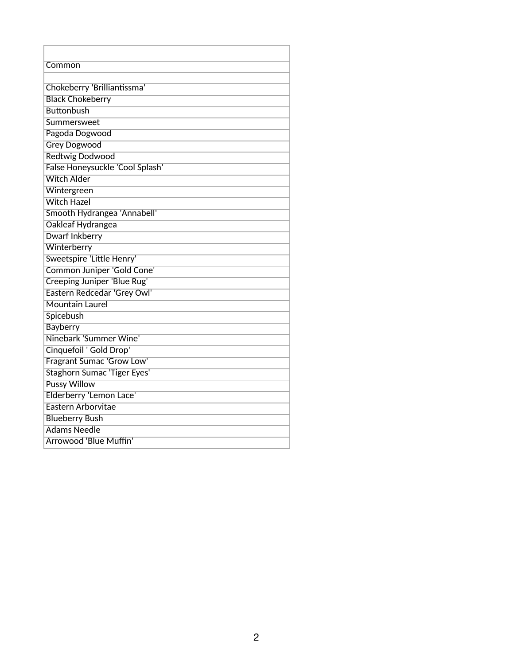| Common                             |
|------------------------------------|
|                                    |
| Chokeberry 'Brilliantissma'        |
| <b>Black Chokeberry</b>            |
| <b>Buttonbush</b>                  |
| Summersweet                        |
| Pagoda Dogwood                     |
| <b>Grey Dogwood</b>                |
| <b>Redtwig Dodwood</b>             |
| False Honeysuckle 'Cool Splash'    |
| <b>Witch Alder</b>                 |
| Wintergreen                        |
| <b>Witch Hazel</b>                 |
| Smooth Hydrangea 'Annabell'        |
| Oakleaf Hydrangea                  |
| <b>Dwarf Inkberry</b>              |
| Winterberry                        |
| Sweetspire 'Little Henry'          |
| Common Juniper 'Gold Cone'         |
| <b>Creeping Juniper 'Blue Rug'</b> |
| Eastern Redcedar 'Grey Owl'        |
| <b>Mountain Laurel</b>             |
| Spicebush                          |
| <b>Bayberry</b>                    |
| Ninebark 'Summer Wine'             |
| Cinquefoil ' Gold Drop'            |
| Fragrant Sumac 'Grow Low'          |
| <b>Staghorn Sumac 'Tiger Eyes'</b> |
| <b>Pussy Willow</b>                |
| Elderberry 'Lemon Lace'            |
| Eastern Arborvitae                 |
| <b>Blueberry Bush</b>              |
| <b>Adams Needle</b>                |
| Arrowood 'Blue Muffin'             |

ľ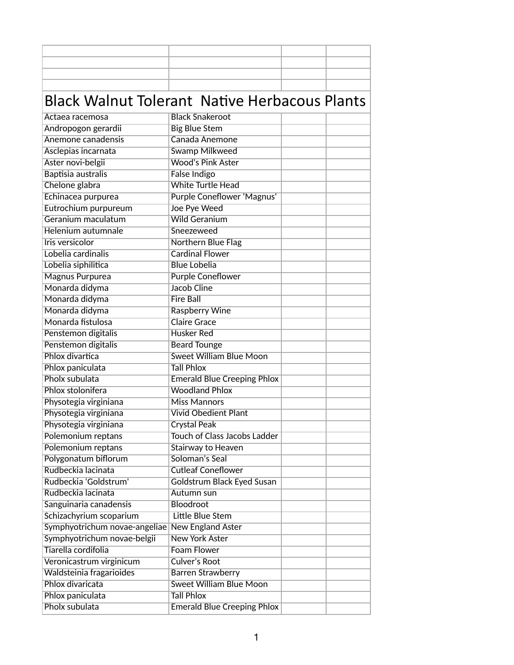## Black Walnut Tolerant Native Herbacous Plants

| Actaea racemosa               | <b>Black Snakeroot</b>              |  |
|-------------------------------|-------------------------------------|--|
| Andropogon gerardii           | <b>Big Blue Stem</b>                |  |
| Anemone canadensis            | Canada Anemone                      |  |
| Asclepias incarnata           | <b>Swamp Milkweed</b>               |  |
| Aster novi-belgii             | <b>Wood's Pink Aster</b>            |  |
| Baptisia australis            | <b>False Indigo</b>                 |  |
| Chelone glabra                | <b>White Turtle Head</b>            |  |
| Echinacea purpurea            | Purple Coneflower 'Magnus'          |  |
| Eutrochium purpureum          | Joe Pye Weed                        |  |
| Geranium maculatum            | <b>Wild Geranium</b>                |  |
| Helenium autumnale            | Sneezeweed                          |  |
| Iris versicolor               | <b>Northern Blue Flag</b>           |  |
| Lobelia cardinalis            | <b>Cardinal Flower</b>              |  |
| Lobelia siphilitica           | <b>Blue Lobelia</b>                 |  |
| <b>Magnus Purpurea</b>        | <b>Purple Coneflower</b>            |  |
| Monarda didyma                | <b>Jacob Cline</b>                  |  |
| Monarda didyma                | <b>Fire Ball</b>                    |  |
| Monarda didyma                | <b>Raspberry Wine</b>               |  |
| Monarda fistulosa             | <b>Claire Grace</b>                 |  |
| Penstemon digitalis           | <b>Husker Red</b>                   |  |
| Penstemon digitalis           | <b>Beard Tounge</b>                 |  |
| Phlox divartica               | <b>Sweet William Blue Moon</b>      |  |
| Phlox paniculata              | <b>Tall Phlox</b>                   |  |
| Pholx subulata                | <b>Emerald Blue Creeping Phlox</b>  |  |
| Phlox stolonifera             | <b>Woodland Phlox</b>               |  |
| Physotegia virginiana         | <b>Miss Mannors</b>                 |  |
| Physotegia virginiana         | <b>Vivid Obedient Plant</b>         |  |
| Physotegia virginiana         | <b>Crystal Peak</b>                 |  |
| Polemonium reptans            | <b>Touch of Class Jacobs Ladder</b> |  |
| Polemonium reptans            | Stairway to Heaven                  |  |
| Polygonatum biflorum          | Soloman's Seal                      |  |
| Rudbeckia lacinata            | <b>Cutleaf Coneflower</b>           |  |
| Rudbeckia 'Goldstrum'         | Goldstrum Black Eyed Susan          |  |
| Rudbeckia lacinata            | Autumn sun                          |  |
| Sanguinaria canadensis        | Bloodroot                           |  |
| Schizachyrium scoparium       | Little Blue Stem                    |  |
| Symphyotrichum novae-angeliae | <b>New England Aster</b>            |  |
| Symphyotrichum novae-belgii   | <b>New York Aster</b>               |  |
| Tiarella cordifolia           | <b>Foam Flower</b>                  |  |
| Veronicastrum virginicum      | <b>Culver's Root</b>                |  |
| Waldsteinia fragarioides      | <b>Barren Strawberry</b>            |  |
| Phlox divaricata              | <b>Sweet William Blue Moon</b>      |  |
| Phlox paniculata              | <b>Tall Phlox</b>                   |  |
| Pholx subulata                | <b>Emerald Blue Creeping Phlox</b>  |  |
|                               |                                     |  |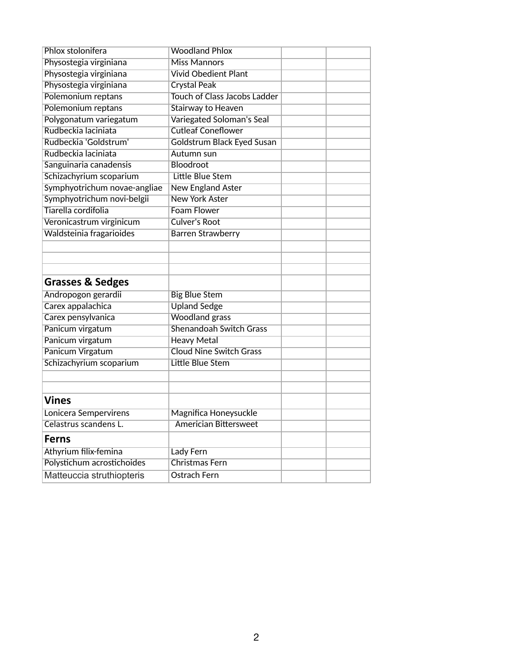| Phlox stolonifera            | <b>Woodland Phlox</b>               |  |  |
|------------------------------|-------------------------------------|--|--|
| Physostegia virginiana       | <b>Miss Mannors</b>                 |  |  |
| Physostegia virginiana       | <b>Vivid Obedient Plant</b>         |  |  |
| Physostegia virginiana       | <b>Crystal Peak</b>                 |  |  |
| Polemonium reptans           | <b>Touch of Class Jacobs Ladder</b> |  |  |
| Polemonium reptans           | Stairway to Heaven                  |  |  |
| Polygonatum variegatum       | Variegated Soloman's Seal           |  |  |
| Rudbeckia laciniata          | <b>Cutleaf Coneflower</b>           |  |  |
| Rudbeckia 'Goldstrum'        | Goldstrum Black Eyed Susan          |  |  |
| Rudbeckia laciniata          | Autumn sun                          |  |  |
| Sanguinaria canadensis       | Bloodroot                           |  |  |
| Schizachyrium scoparium      | Little Blue Stem                    |  |  |
| Symphyotrichum novae-angliae | <b>New England Aster</b>            |  |  |
| Symphyotrichum novi-belgii   | <b>New York Aster</b>               |  |  |
| Tiarella cordifolia          | <b>Foam Flower</b>                  |  |  |
| Veronicastrum virginicum     | <b>Culver's Root</b>                |  |  |
| Waldsteinia fragarioides     | <b>Barren Strawberry</b>            |  |  |
|                              |                                     |  |  |
|                              |                                     |  |  |
|                              |                                     |  |  |
| <b>Grasses &amp; Sedges</b>  |                                     |  |  |
| Andropogon gerardii          | <b>Big Blue Stem</b>                |  |  |
| Carex appalachica            | <b>Upland Sedge</b>                 |  |  |
| Carex pensylvanica           | <b>Woodland grass</b>               |  |  |
| Panicum virgatum             | Shenandoah Switch Grass             |  |  |
| Panicum virgatum             | <b>Heavy Metal</b>                  |  |  |
| Panicum Virgatum             | <b>Cloud Nine Switch Grass</b>      |  |  |
| Schizachyrium scoparium      | Little Blue Stem                    |  |  |
|                              |                                     |  |  |
|                              |                                     |  |  |
| <b>Vines</b>                 |                                     |  |  |
| Lonicera Sempervirens        | Magnifica Honeysuckle               |  |  |
| Celastrus scandens L.        | <b>Americian Bittersweet</b>        |  |  |
|                              |                                     |  |  |
| <b>Ferns</b>                 |                                     |  |  |
| Athyrium filix-femina        | Lady Fern                           |  |  |
| Polystichum acrostichoides   | Christmas Fern                      |  |  |
| Matteuccia struthiopteris    | <b>Ostrach Fern</b>                 |  |  |